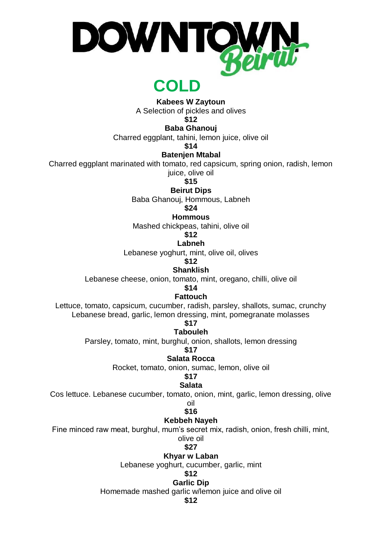

## **COLD**

**Kabees W Zaytoun** 

A Selection of pickles and olives

**\$12**

**Baba Ghanouj**

Charred eggplant, tahini, lemon juice, olive oil

**\$14**

### **Batenjen Mtabal**

Charred eggplant marinated with tomato, red capsicum, spring onion, radish, lemon

juice, olive oil

**\$15**

**Beirut Dips**

Baba Ghanouj, Hommous, Labneh

**\$24**

**Hommous**

Mashed chickpeas, tahini, olive oil

## **\$12**

**Labneh**

Lebanese yoghurt, mint, olive oil, olives

**\$12**

**Shanklish**

Lebanese cheese, onion, tomato, mint, oregano, chilli, olive oil

**\$14**

**Fattouch**

Lettuce, tomato, capsicum, cucumber, radish, parsley, shallots, sumac, crunchy Lebanese bread, garlic, lemon dressing, mint, pomegranate molasses

## **\$17**

**Tabouleh** Parsley, tomato, mint, burghul, onion, shallots, lemon dressing

**\$17**

**Salata Rocca**

Rocket, tomato, onion, sumac, lemon, olive oil

### **\$17**

### **Salata**

Cos lettuce. Lebanese cucumber, tomato, onion, mint, garlic, lemon dressing, olive

oil **\$16**

### **Kebbeh Nayeh**

Fine minced raw meat, burghul, mum's secret mix, radish, onion, fresh chilli, mint,

olive oil **\$27**

## **Khyar w Laban**

Lebanese yoghurt, cucumber, garlic, mint

#### **\$12 Garlic Dip**

Homemade mashed garlic w/lemon juice and olive oil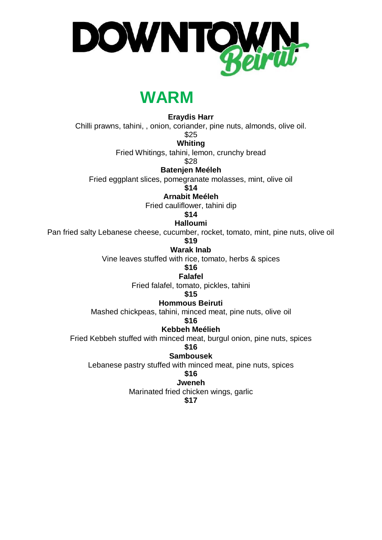

# **WARM**

**Eraydis Harr** 

Chilli prawns, tahini, , onion, coriander, pine nuts, almonds, olive oil.

\$25

**Whiting**

Fried Whitings, tahini, lemon, crunchy bread

\$28

**Batenjen Meéleh**

Fried eggplant slices, pomegranate molasses, mint, olive oil

**\$14**

**Arnabit Meéleh**

Fried cauliflower, tahini dip

**\$14**

**Halloumi**

Pan fried salty Lebanese cheese, cucumber, rocket, tomato, mint, pine nuts, olive oil

**\$19**

**Warak Inab**

Vine leaves stuffed with rice, tomato, herbs & spices

**\$16**

**Falafel**

Fried falafel, tomato, pickles, tahini

**\$15**

**Hommous Beiruti**

Mashed chickpeas, tahini, minced meat, pine nuts, olive oil

**\$16**

**Kebbeh Meélieh**

Fried Kebbeh stuffed with minced meat, burgul onion, pine nuts, spices

**\$16**

**Sambousek**

Lebanese pastry stuffed with minced meat, pine nuts, spices

**\$16**

**Jweneh**

Marinated fried chicken wings, garlic

**\$17**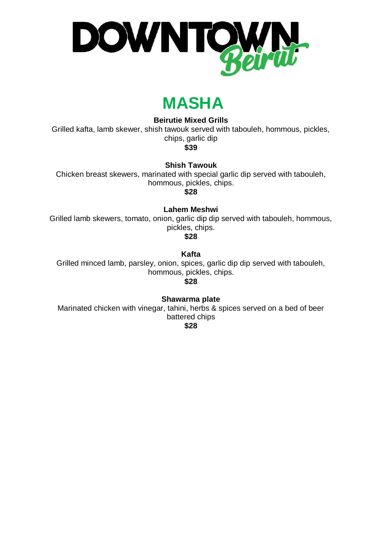

# **MASHA**

### **WI Beirutie Mixed Grills**

Grilled kafta, lamb skewer, shish tawouk served with tabouleh, hommous, pickles, chips, garlic dip

**\$39**

**Shish Tawouk**

Chicken breast skewers, marinated with special garlic dip served with tabouleh, hommous, pickles, chips.

**\$28**

**Lahem Meshwi**

Grilled lamb skewers, tomato, onion, garlic dip dip served with tabouleh, hommous, pickles, chips.

**\$28**

**Kafta**

Grilled minced lamb, parsley, onion, spices, garlic dip dip served with tabouleh, hommous, pickles, chips.

**\$28**

**Shawarma plate**

Marinated chicken with vinegar, tahini, herbs & spices served on a bed of beer battered chips

**\$28**